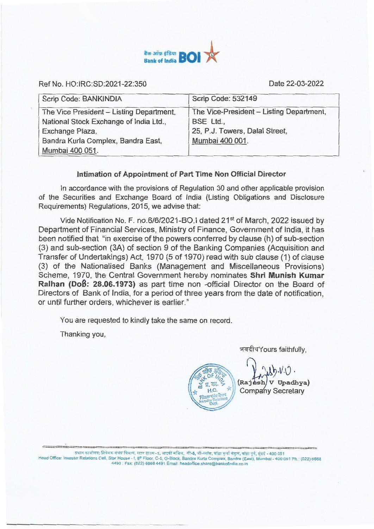

Ref No. HO:IRC:SD:2021-22:350 Date 22-03-2022

| Scrip Code: BANKINDIA                    | Scrip Code: 532149                       |
|------------------------------------------|------------------------------------------|
| The Vice President - Listing Department, | The Vice-President - Listing Department, |
| National Stock Exchange of India Ltd.,   | BSE Ltd.,                                |
| Exchange Plaza,                          | 25, P.J. Towers, Dalal Street,           |
| Bandra Kurla Complex, Bandra East,       | Mumbai 400 001.                          |
| Mumbai 400 051.                          |                                          |

## **Intimation of Appointment of Part Time Non Official Director**

In accordance with the provisions of Regulation 30 and other applicable provision of the Securities and Exchange Board of India (Listing Obligations and Disclosure Requirements) Regulations, 2015, we advise that:

Vide Notification No. F. no.6/6/2021-BO.I dated 21<sup>st</sup> of March, 2022 issued by Department of Financial Services, Ministry of Finance, Government of India, it has been notified that "in exercise of the powers conferred by clause (h) of sub-section (3) and sub-section (3A) of section 9 of the Banking Companies (Acquisition and Transfer of Undertakings) Act, 1970 (5 of 1970) read with sub clause (1) of clause (3) of the Nationalised Banks (Management and Miscellaneous Provisions) Scheme, 1970, the Central Government hereby nominates **Shri Munish Kumar Ralhan (Doß: 28.06.1973)** as part time non -official Director on the Board of Directors of Bank of India, for a period of three years from the date of notification, or until further orders, whichever is earlier."

You are requested to kindly take the same on record.

Thanking you,

भवदीयYours faithfully,

 $46.1$  OF

(Rai H.O. Kill Company Secretary  $y \cdot \nu \cdot \nu$ V Upadhya)

प्रधान कार्यालय: निवेशक संबंध विभाग, स्टार हाउस−उ, आठवीं मंजिल, सी-5, जी-ब्लॉक, बांद्रा कुर्ला संकुल, बांद्रा पूर्व, संबई - 400 051 Head Office: Investor Relations Cell, Star House - I, 8<sup>th</sup> Floor, C-5, G-Block, Bandra Kurla Complex, Bandra (East), Mumbai - 400 051 Ph.: (022) 6668 4490: Fax: (022) 6668 4491 Email: headoffice.share@bankofindia\_co.in